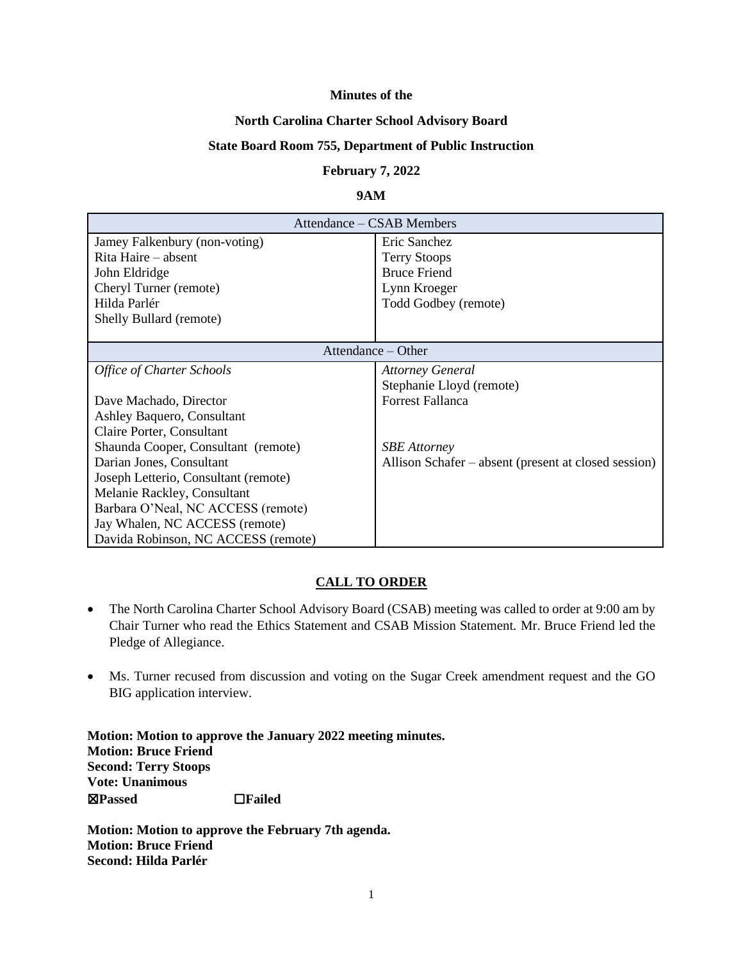#### **Minutes of the**

#### **North Carolina Charter School Advisory Board**

#### **State Board Room 755, Department of Public Instruction**

#### **February 7, 2022**

#### **9AM**

| Attendance – CSAB Members            |                                                      |  |  |
|--------------------------------------|------------------------------------------------------|--|--|
| Jamey Falkenbury (non-voting)        | Eric Sanchez                                         |  |  |
| Rita Haire – absent                  | <b>Terry Stoops</b>                                  |  |  |
| John Eldridge                        | <b>Bruce Friend</b>                                  |  |  |
| Cheryl Turner (remote)               | Lynn Kroeger                                         |  |  |
| Hilda Parlér                         | Todd Godbey (remote)                                 |  |  |
| Shelly Bullard (remote)              |                                                      |  |  |
|                                      |                                                      |  |  |
| Attendance – Other                   |                                                      |  |  |
| Office of Charter Schools            | <b>Attorney General</b>                              |  |  |
|                                      | Stephanie Lloyd (remote)                             |  |  |
| Dave Machado, Director               | <b>Forrest Fallanca</b>                              |  |  |
| Ashley Baquero, Consultant           |                                                      |  |  |
| Claire Porter, Consultant            |                                                      |  |  |
| Shaunda Cooper, Consultant (remote)  | <b>SBE</b> Attorney                                  |  |  |
| Darian Jones, Consultant             | Allison Schafer – absent (present at closed session) |  |  |
| Joseph Letterio, Consultant (remote) |                                                      |  |  |
| Melanie Rackley, Consultant          |                                                      |  |  |
| Barbara O'Neal, NC ACCESS (remote)   |                                                      |  |  |
| Jay Whalen, NC ACCESS (remote)       |                                                      |  |  |
| Davida Robinson, NC ACCESS (remote)  |                                                      |  |  |

## **CALL TO ORDER**

- The North Carolina Charter School Advisory Board (CSAB) meeting was called to order at 9:00 am by Chair Turner who read the Ethics Statement and CSAB Mission Statement. Mr. Bruce Friend led the Pledge of Allegiance.
- Ms. Turner recused from discussion and voting on the Sugar Creek amendment request and the GO BIG application interview.

**Motion: Motion to approve the January 2022 meeting minutes. Motion: Bruce Friend Second: Terry Stoops Vote: Unanimous**  ☒**Passed** ☐**Failed** 

**Motion: Motion to approve the February 7th agenda. Motion: Bruce Friend Second: Hilda Parlér**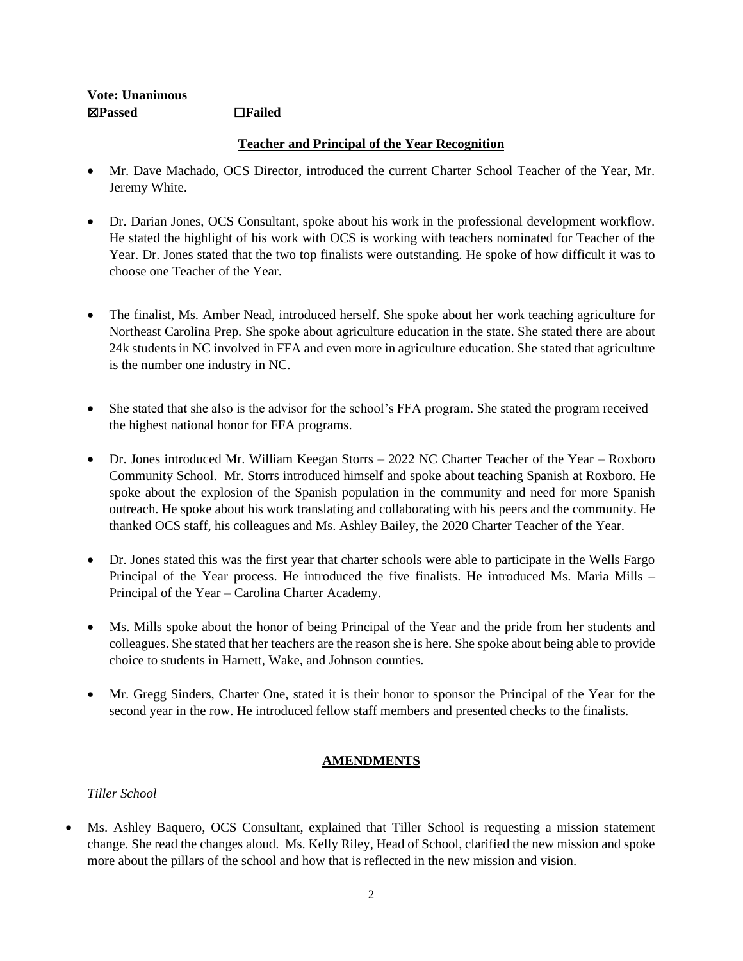## **Vote: Unanimous**  ☒**Passed** ☐**Failed**

## **Teacher and Principal of the Year Recognition**

- Mr. Dave Machado, OCS Director, introduced the current Charter School Teacher of the Year, Mr. Jeremy White.
- Dr. Darian Jones, OCS Consultant, spoke about his work in the professional development workflow. He stated the highlight of his work with OCS is working with teachers nominated for Teacher of the Year. Dr. Jones stated that the two top finalists were outstanding. He spoke of how difficult it was to choose one Teacher of the Year.
- The finalist, Ms. Amber Nead, introduced herself. She spoke about her work teaching agriculture for Northeast Carolina Prep. She spoke about agriculture education in the state. She stated there are about 24k students in NC involved in FFA and even more in agriculture education. She stated that agriculture is the number one industry in NC.
- She stated that she also is the advisor for the school's FFA program. She stated the program received the highest national honor for FFA programs.
- Dr. Jones introduced Mr. William Keegan Storrs 2022 NC Charter Teacher of the Year Roxboro Community School. Mr. Storrs introduced himself and spoke about teaching Spanish at Roxboro. He spoke about the explosion of the Spanish population in the community and need for more Spanish outreach. He spoke about his work translating and collaborating with his peers and the community. He thanked OCS staff, his colleagues and Ms. Ashley Bailey, the 2020 Charter Teacher of the Year.
- Dr. Jones stated this was the first year that charter schools were able to participate in the Wells Fargo Principal of the Year process. He introduced the five finalists. He introduced Ms. Maria Mills – Principal of the Year – Carolina Charter Academy.
- Ms. Mills spoke about the honor of being Principal of the Year and the pride from her students and colleagues. She stated that her teachers are the reason she is here. She spoke about being able to provide choice to students in Harnett, Wake, and Johnson counties.
- Mr. Gregg Sinders, Charter One, stated it is their honor to sponsor the Principal of the Year for the second year in the row. He introduced fellow staff members and presented checks to the finalists.

## **AMENDMENTS**

## *Tiller School*

Ms. Ashley Baquero, OCS Consultant, explained that Tiller School is requesting a mission statement change. She read the changes aloud. Ms. Kelly Riley, Head of School, clarified the new mission and spoke more about the pillars of the school and how that is reflected in the new mission and vision.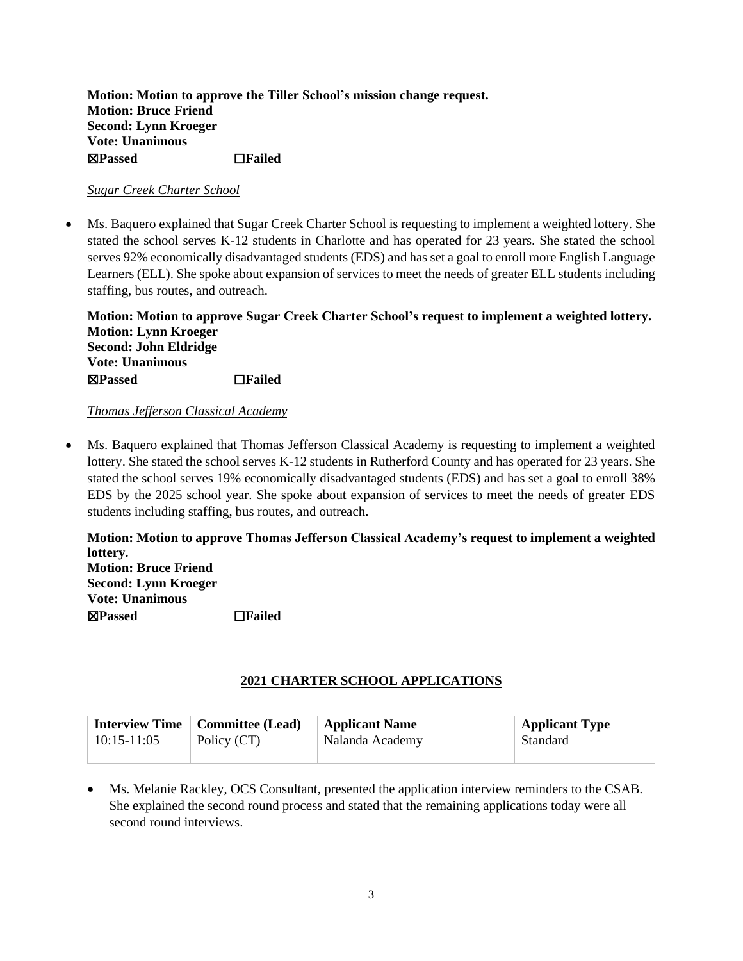**Motion: Motion to approve the Tiller School's mission change request. Motion: Bruce Friend Second: Lynn Kroeger Vote: Unanimous**  ☒**Passed** ☐**Failed** 

### *Sugar Creek Charter School*

Ms. Baquero explained that Sugar Creek Charter School is requesting to implement a weighted lottery. She stated the school serves K-12 students in Charlotte and has operated for 23 years. She stated the school serves 92% economically disadvantaged students (EDS) and has set a goal to enroll more English Language Learners (ELL). She spoke about expansion of services to meet the needs of greater ELL students including staffing, bus routes, and outreach.

**Motion: Motion to approve Sugar Creek Charter School's request to implement a weighted lottery. Motion: Lynn Kroeger Second: John Eldridge Vote: Unanimous**  ☒**Passed** ☐**Failed** 

### *Thomas Jefferson Classical Academy*

• Ms. Baquero explained that Thomas Jefferson Classical Academy is requesting to implement a weighted lottery. She stated the school serves K-12 students in Rutherford County and has operated for 23 years. She stated the school serves 19% economically disadvantaged students (EDS) and has set a goal to enroll 38% EDS by the 2025 school year. She spoke about expansion of services to meet the needs of greater EDS students including staffing, bus routes, and outreach.

**Motion: Motion to approve Thomas Jefferson Classical Academy's request to implement a weighted lottery. Motion: Bruce Friend**

**Second: Lynn Kroeger Vote: Unanimous**  ☒**Passed** ☐**Failed** 

## **2021 CHARTER SCHOOL APPLICATIONS**

|                 | <b>Interview Time</b>   Committee (Lead) | <b>Applicant Name</b> | <b>Applicant Type</b> |
|-----------------|------------------------------------------|-----------------------|-----------------------|
| $10:15 - 11:05$ | Policy (CT)                              | Nalanda Academy       | Standard              |

• Ms. Melanie Rackley, OCS Consultant, presented the application interview reminders to the CSAB. She explained the second round process and stated that the remaining applications today were all second round interviews.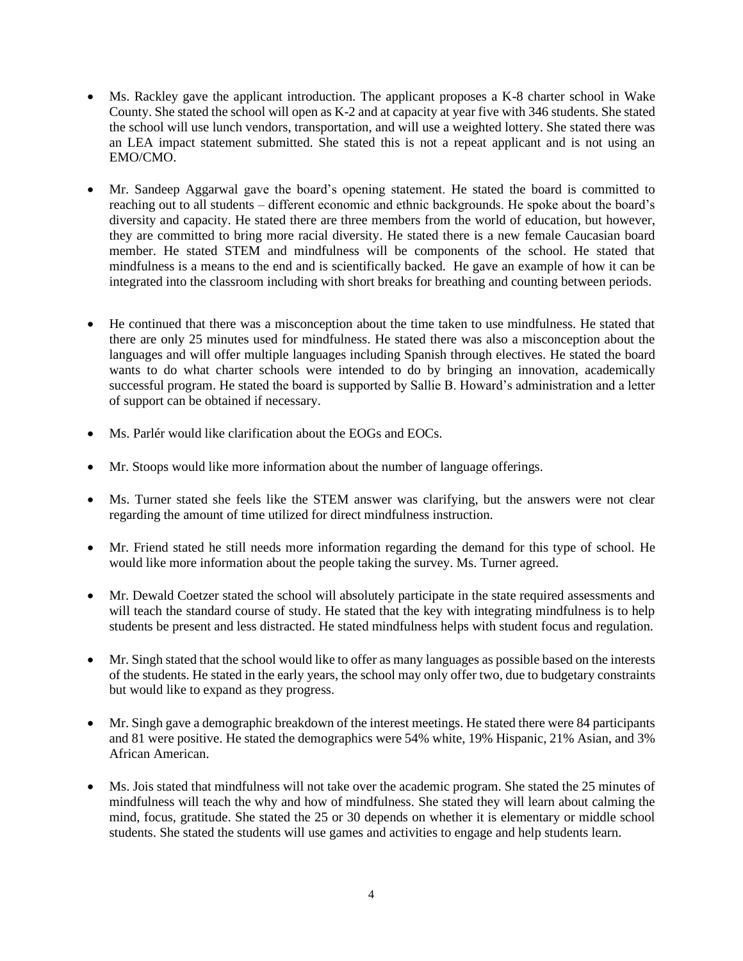- Ms. Rackley gave the applicant introduction. The applicant proposes a K-8 charter school in Wake County. She stated the school will open as K-2 and at capacity at year five with 346 students. She stated the school will use lunch vendors, transportation, and will use a weighted lottery. She stated there was an LEA impact statement submitted. She stated this is not a repeat applicant and is not using an EMO/CMO.
- Mr. Sandeep Aggarwal gave the board's opening statement. He stated the board is committed to reaching out to all students – different economic and ethnic backgrounds. He spoke about the board's diversity and capacity. He stated there are three members from the world of education, but however, they are committed to bring more racial diversity. He stated there is a new female Caucasian board member. He stated STEM and mindfulness will be components of the school. He stated that mindfulness is a means to the end and is scientifically backed. He gave an example of how it can be integrated into the classroom including with short breaks for breathing and counting between periods.
- He continued that there was a misconception about the time taken to use mindfulness. He stated that there are only 25 minutes used for mindfulness. He stated there was also a misconception about the languages and will offer multiple languages including Spanish through electives. He stated the board wants to do what charter schools were intended to do by bringing an innovation, academically successful program. He stated the board is supported by Sallie B. Howard's administration and a letter of support can be obtained if necessary.
- Ms. Parlér would like clarification about the EOGs and EOCs.
- Mr. Stoops would like more information about the number of language offerings.
- Ms. Turner stated she feels like the STEM answer was clarifying, but the answers were not clear regarding the amount of time utilized for direct mindfulness instruction.
- Mr. Friend stated he still needs more information regarding the demand for this type of school. He would like more information about the people taking the survey. Ms. Turner agreed.
- Mr. Dewald Coetzer stated the school will absolutely participate in the state required assessments and will teach the standard course of study. He stated that the key with integrating mindfulness is to help students be present and less distracted. He stated mindfulness helps with student focus and regulation.
- Mr. Singh stated that the school would like to offer as many languages as possible based on the interests of the students. He stated in the early years, the school may only offer two, due to budgetary constraints but would like to expand as they progress.
- Mr. Singh gave a demographic breakdown of the interest meetings. He stated there were 84 participants and 81 were positive. He stated the demographics were 54% white, 19% Hispanic, 21% Asian, and 3% African American.
- Ms. Jois stated that mindfulness will not take over the academic program. She stated the 25 minutes of mindfulness will teach the why and how of mindfulness. She stated they will learn about calming the mind, focus, gratitude. She stated the 25 or 30 depends on whether it is elementary or middle school students. She stated the students will use games and activities to engage and help students learn.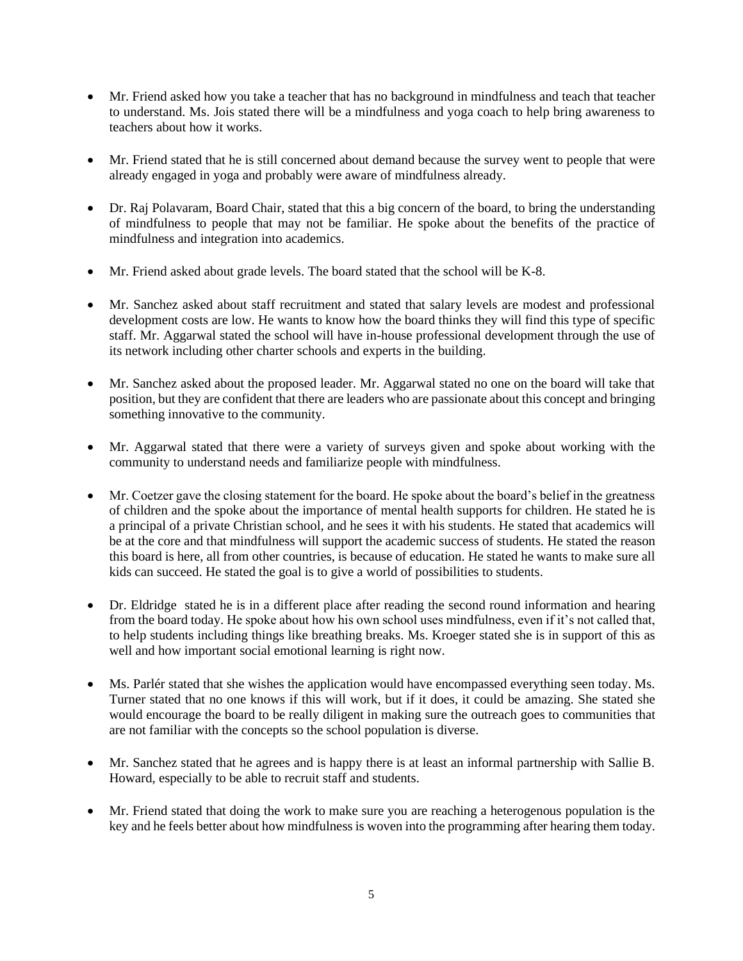- Mr. Friend asked how you take a teacher that has no background in mindfulness and teach that teacher to understand. Ms. Jois stated there will be a mindfulness and yoga coach to help bring awareness to teachers about how it works.
- Mr. Friend stated that he is still concerned about demand because the survey went to people that were already engaged in yoga and probably were aware of mindfulness already.
- Dr. Raj Polavaram, Board Chair, stated that this a big concern of the board, to bring the understanding of mindfulness to people that may not be familiar. He spoke about the benefits of the practice of mindfulness and integration into academics.
- Mr. Friend asked about grade levels. The board stated that the school will be K-8.
- Mr. Sanchez asked about staff recruitment and stated that salary levels are modest and professional development costs are low. He wants to know how the board thinks they will find this type of specific staff. Mr. Aggarwal stated the school will have in-house professional development through the use of its network including other charter schools and experts in the building.
- Mr. Sanchez asked about the proposed leader. Mr. Aggarwal stated no one on the board will take that position, but they are confident that there are leaders who are passionate about this concept and bringing something innovative to the community.
- Mr. Aggarwal stated that there were a variety of surveys given and spoke about working with the community to understand needs and familiarize people with mindfulness.
- Mr. Coetzer gave the closing statement for the board. He spoke about the board's belief in the greatness of children and the spoke about the importance of mental health supports for children. He stated he is a principal of a private Christian school, and he sees it with his students. He stated that academics will be at the core and that mindfulness will support the academic success of students. He stated the reason this board is here, all from other countries, is because of education. He stated he wants to make sure all kids can succeed. He stated the goal is to give a world of possibilities to students.
- Dr. Eldridge stated he is in a different place after reading the second round information and hearing from the board today. He spoke about how his own school uses mindfulness, even if it's not called that, to help students including things like breathing breaks. Ms. Kroeger stated she is in support of this as well and how important social emotional learning is right now.
- Ms. Parlér stated that she wishes the application would have encompassed everything seen today. Ms. Turner stated that no one knows if this will work, but if it does, it could be amazing. She stated she would encourage the board to be really diligent in making sure the outreach goes to communities that are not familiar with the concepts so the school population is diverse.
- Mr. Sanchez stated that he agrees and is happy there is at least an informal partnership with Sallie B. Howard, especially to be able to recruit staff and students.
- Mr. Friend stated that doing the work to make sure you are reaching a heterogenous population is the key and he feels better about how mindfulness is woven into the programming after hearing them today.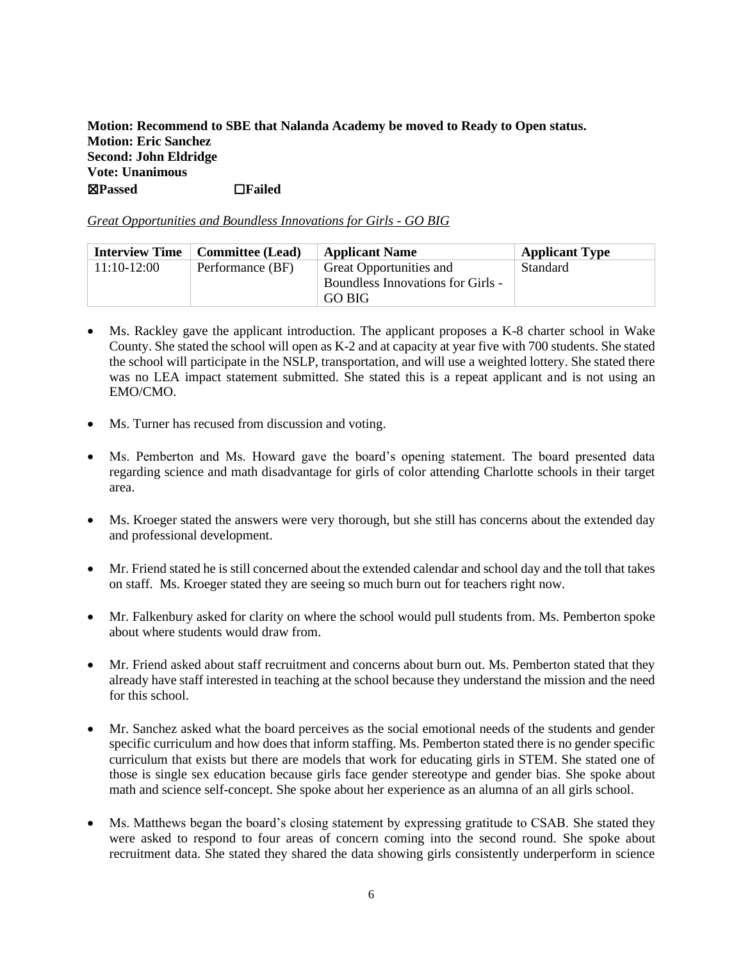**Motion: Recommend to SBE that Nalanda Academy be moved to Ready to Open status. Motion: Eric Sanchez Second: John Eldridge Vote: Unanimous**  ☒**Passed** ☐**Failed** 

|  | Great Opportunities and Boundless Innovations for Girls - GO BIG |
|--|------------------------------------------------------------------|
|--|------------------------------------------------------------------|

|               | <b>Interview Time</b>   Committee (Lead) | <b>Applicant Name</b>             | <b>Applicant Type</b> |
|---------------|------------------------------------------|-----------------------------------|-----------------------|
| $11:10-12:00$ | Performance (BF)                         | Great Opportunities and           | Standard              |
|               |                                          | Boundless Innovations for Girls - |                       |
|               |                                          | GO BIG                            |                       |

- Ms. Rackley gave the applicant introduction. The applicant proposes a K-8 charter school in Wake County. She stated the school will open as K-2 and at capacity at year five with 700 students. She stated the school will participate in the NSLP, transportation, and will use a weighted lottery. She stated there was no LEA impact statement submitted. She stated this is a repeat applicant and is not using an EMO/CMO.
- Ms. Turner has recused from discussion and voting.
- Ms. Pemberton and Ms. Howard gave the board's opening statement. The board presented data regarding science and math disadvantage for girls of color attending Charlotte schools in their target area.
- Ms. Kroeger stated the answers were very thorough, but she still has concerns about the extended day and professional development.
- Mr. Friend stated he is still concerned about the extended calendar and school day and the toll that takes on staff. Ms. Kroeger stated they are seeing so much burn out for teachers right now.
- Mr. Falkenbury asked for clarity on where the school would pull students from. Ms. Pemberton spoke about where students would draw from.
- Mr. Friend asked about staff recruitment and concerns about burn out. Ms. Pemberton stated that they already have staff interested in teaching at the school because they understand the mission and the need for this school.
- Mr. Sanchez asked what the board perceives as the social emotional needs of the students and gender specific curriculum and how does that inform staffing. Ms. Pemberton stated there is no gender specific curriculum that exists but there are models that work for educating girls in STEM. She stated one of those is single sex education because girls face gender stereotype and gender bias. She spoke about math and science self-concept. She spoke about her experience as an alumna of an all girls school.
- Ms. Matthews began the board's closing statement by expressing gratitude to CSAB. She stated they were asked to respond to four areas of concern coming into the second round. She spoke about recruitment data. She stated they shared the data showing girls consistently underperform in science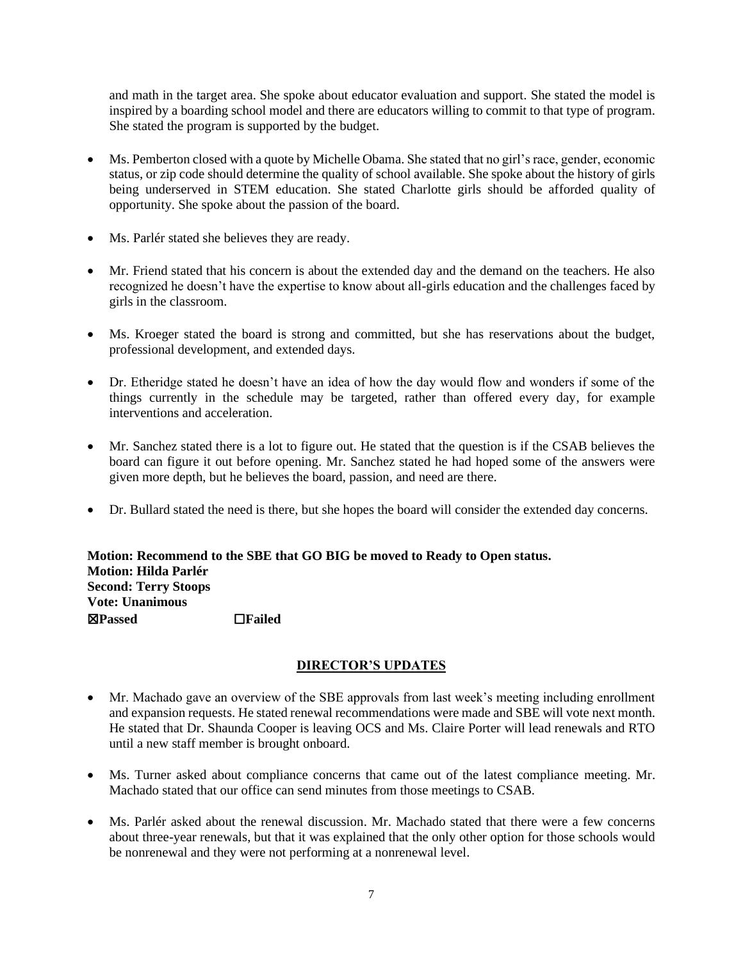and math in the target area. She spoke about educator evaluation and support. She stated the model is inspired by a boarding school model and there are educators willing to commit to that type of program. She stated the program is supported by the budget.

- Ms. Pemberton closed with a quote by Michelle Obama. She stated that no girl's race, gender, economic status, or zip code should determine the quality of school available. She spoke about the history of girls being underserved in STEM education. She stated Charlotte girls should be afforded quality of opportunity. She spoke about the passion of the board.
- Ms. Parlér stated she believes they are ready.
- Mr. Friend stated that his concern is about the extended day and the demand on the teachers. He also recognized he doesn't have the expertise to know about all-girls education and the challenges faced by girls in the classroom.
- Ms. Kroeger stated the board is strong and committed, but she has reservations about the budget, professional development, and extended days.
- Dr. Etheridge stated he doesn't have an idea of how the day would flow and wonders if some of the things currently in the schedule may be targeted, rather than offered every day, for example interventions and acceleration.
- Mr. Sanchez stated there is a lot to figure out. He stated that the question is if the CSAB believes the board can figure it out before opening. Mr. Sanchez stated he had hoped some of the answers were given more depth, but he believes the board, passion, and need are there.
- Dr. Bullard stated the need is there, but she hopes the board will consider the extended day concerns.

**Motion: Recommend to the SBE that GO BIG be moved to Ready to Open status. Motion: Hilda Parlér Second: Terry Stoops Vote: Unanimous**  ☒**Passed** ☐**Failed** 

## **DIRECTOR'S UPDATES**

- Mr. Machado gave an overview of the SBE approvals from last week's meeting including enrollment and expansion requests. He stated renewal recommendations were made and SBE will vote next month. He stated that Dr. Shaunda Cooper is leaving OCS and Ms. Claire Porter will lead renewals and RTO until a new staff member is brought onboard.
- Ms. Turner asked about compliance concerns that came out of the latest compliance meeting. Mr. Machado stated that our office can send minutes from those meetings to CSAB.
- Ms. Parlér asked about the renewal discussion. Mr. Machado stated that there were a few concerns about three-year renewals, but that it was explained that the only other option for those schools would be nonrenewal and they were not performing at a nonrenewal level.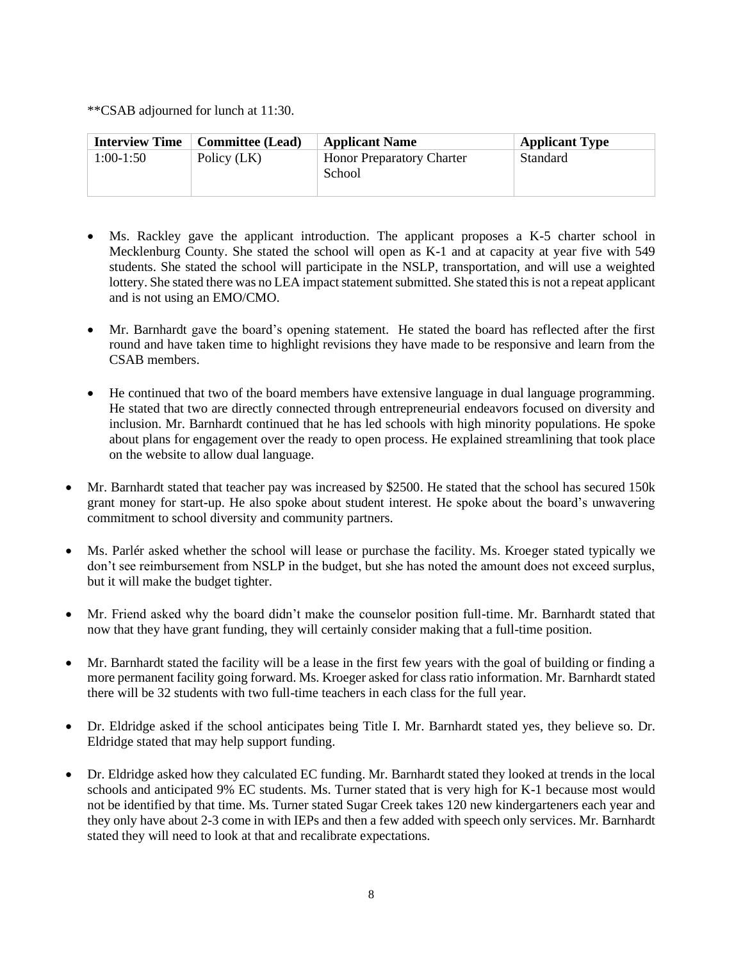\*\*CSAB adjourned for lunch at 11:30.

| <b>Interview Time</b> | <b>Committee</b> (Lead) | <b>Applicant Name</b>                      | <b>Applicant Type</b> |
|-----------------------|-------------------------|--------------------------------------------|-----------------------|
| $1:00-1:50$           | Policy (LK)             | <b>Honor Preparatory Charter</b><br>School | Standard              |

- Ms. Rackley gave the applicant introduction. The applicant proposes a K-5 charter school in Mecklenburg County. She stated the school will open as K-1 and at capacity at year five with 549 students. She stated the school will participate in the NSLP, transportation, and will use a weighted lottery. She stated there was no LEA impact statement submitted. She stated this is not a repeat applicant and is not using an EMO/CMO.
- Mr. Barnhardt gave the board's opening statement. He stated the board has reflected after the first round and have taken time to highlight revisions they have made to be responsive and learn from the CSAB members.
- He continued that two of the board members have extensive language in dual language programming. He stated that two are directly connected through entrepreneurial endeavors focused on diversity and inclusion. Mr. Barnhardt continued that he has led schools with high minority populations. He spoke about plans for engagement over the ready to open process. He explained streamlining that took place on the website to allow dual language.
- Mr. Barnhardt stated that teacher pay was increased by \$2500. He stated that the school has secured 150k grant money for start-up. He also spoke about student interest. He spoke about the board's unwavering commitment to school diversity and community partners.
- Ms. Parlér asked whether the school will lease or purchase the facility. Ms. Kroeger stated typically we don't see reimbursement from NSLP in the budget, but she has noted the amount does not exceed surplus, but it will make the budget tighter.
- Mr. Friend asked why the board didn't make the counselor position full-time. Mr. Barnhardt stated that now that they have grant funding, they will certainly consider making that a full-time position.
- Mr. Barnhardt stated the facility will be a lease in the first few years with the goal of building or finding a more permanent facility going forward. Ms. Kroeger asked for class ratio information. Mr. Barnhardt stated there will be 32 students with two full-time teachers in each class for the full year.
- Dr. Eldridge asked if the school anticipates being Title I. Mr. Barnhardt stated yes, they believe so. Dr. Eldridge stated that may help support funding.
- Dr. Eldridge asked how they calculated EC funding. Mr. Barnhardt stated they looked at trends in the local schools and anticipated 9% EC students. Ms. Turner stated that is very high for K-1 because most would not be identified by that time. Ms. Turner stated Sugar Creek takes 120 new kindergarteners each year and they only have about 2-3 come in with IEPs and then a few added with speech only services. Mr. Barnhardt stated they will need to look at that and recalibrate expectations.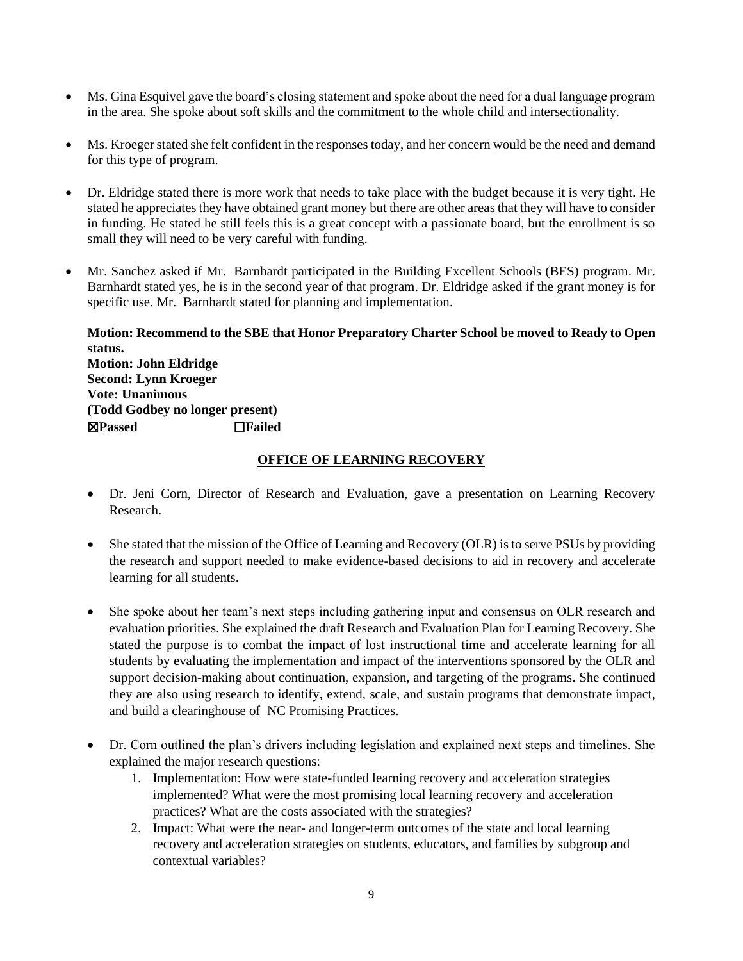- Ms. Gina Esquivel gave the board's closing statement and spoke about the need for a dual language program in the area. She spoke about soft skills and the commitment to the whole child and intersectionality.
- Ms. Kroeger stated she felt confident in the responses today, and her concern would be the need and demand for this type of program.
- Dr. Eldridge stated there is more work that needs to take place with the budget because it is very tight. He stated he appreciates they have obtained grant money but there are other areas that they will have to consider in funding. He stated he still feels this is a great concept with a passionate board, but the enrollment is so small they will need to be very careful with funding.
- Mr. Sanchez asked if Mr. Barnhardt participated in the Building Excellent Schools (BES) program. Mr. Barnhardt stated yes, he is in the second year of that program. Dr. Eldridge asked if the grant money is for specific use. Mr. Barnhardt stated for planning and implementation.

**Motion: Recommend to the SBE that Honor Preparatory Charter School be moved to Ready to Open status. Motion: John Eldridge Second: Lynn Kroeger Vote: Unanimous (Todd Godbey no longer present)**  ☒**Passed** ☐**Failed** 

### **OFFICE OF LEARNING RECOVERY**

- Dr. Jeni Corn, Director of Research and Evaluation, gave a presentation on Learning Recovery Research.
- She stated that the mission of the Office of Learning and Recovery (OLR) is to serve PSUs by providing the research and support needed to make evidence-based decisions to aid in recovery and accelerate learning for all students.
- She spoke about her team's next steps including gathering input and consensus on OLR research and evaluation priorities. She explained the draft Research and Evaluation Plan for Learning Recovery. She stated the purpose is to combat the impact of lost instructional time and accelerate learning for all students by evaluating the implementation and impact of the interventions sponsored by the OLR and support decision-making about continuation, expansion, and targeting of the programs. She continued they are also using research to identify, extend, scale, and sustain programs that demonstrate impact, and build a clearinghouse of NC Promising Practices.
- Dr. Corn outlined the plan's drivers including legislation and explained next steps and timelines. She explained the major research questions:
	- 1. Implementation: How were state-funded learning recovery and acceleration strategies implemented? What were the most promising local learning recovery and acceleration practices? What are the costs associated with the strategies?
	- 2. Impact: What were the near- and longer-term outcomes of the state and local learning recovery and acceleration strategies on students, educators, and families by subgroup and contextual variables?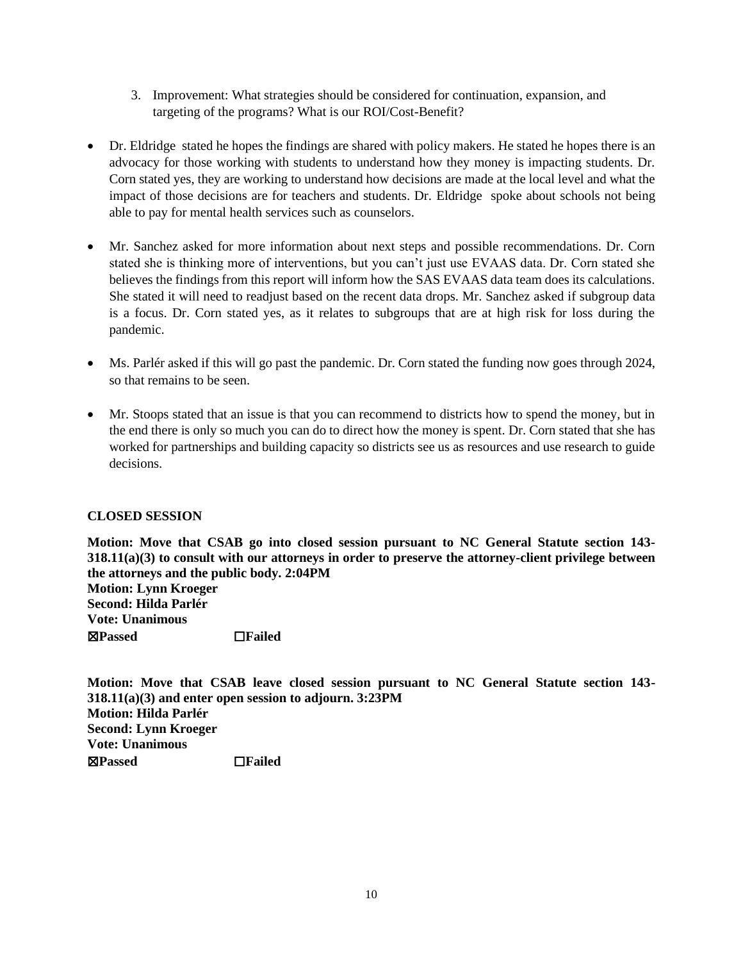- 3. Improvement: What strategies should be considered for continuation, expansion, and targeting of the programs? What is our ROI/Cost-Benefit?
- Dr. Eldridge stated he hopes the findings are shared with policy makers. He stated he hopes there is an advocacy for those working with students to understand how they money is impacting students. Dr. Corn stated yes, they are working to understand how decisions are made at the local level and what the impact of those decisions are for teachers and students. Dr. Eldridge spoke about schools not being able to pay for mental health services such as counselors.
- Mr. Sanchez asked for more information about next steps and possible recommendations. Dr. Corn stated she is thinking more of interventions, but you can't just use EVAAS data. Dr. Corn stated she believes the findings from this report will inform how the SAS EVAAS data team does its calculations. She stated it will need to readjust based on the recent data drops. Mr. Sanchez asked if subgroup data is a focus. Dr. Corn stated yes, as it relates to subgroups that are at high risk for loss during the pandemic.
- Ms. Parlér asked if this will go past the pandemic. Dr. Corn stated the funding now goes through 2024, so that remains to be seen.
- Mr. Stoops stated that an issue is that you can recommend to districts how to spend the money, but in the end there is only so much you can do to direct how the money is spent. Dr. Corn stated that she has worked for partnerships and building capacity so districts see us as resources and use research to guide decisions.

### **CLOSED SESSION**

**Motion: Move that CSAB go into closed session pursuant to NC General Statute section 143- 318.11(a)(3) to consult with our attorneys in order to preserve the attorney-client privilege between the attorneys and the public body. 2:04PM Motion: Lynn Kroeger Second: Hilda Parlér Vote: Unanimous**  ☒**Passed** ☐**Failed** 

**Motion: Move that CSAB leave closed session pursuant to NC General Statute section 143- 318.11(a)(3) and enter open session to adjourn. 3:23PM Motion: Hilda Parlér Second: Lynn Kroeger Vote: Unanimous**  ☒**Passed** ☐**Failed**